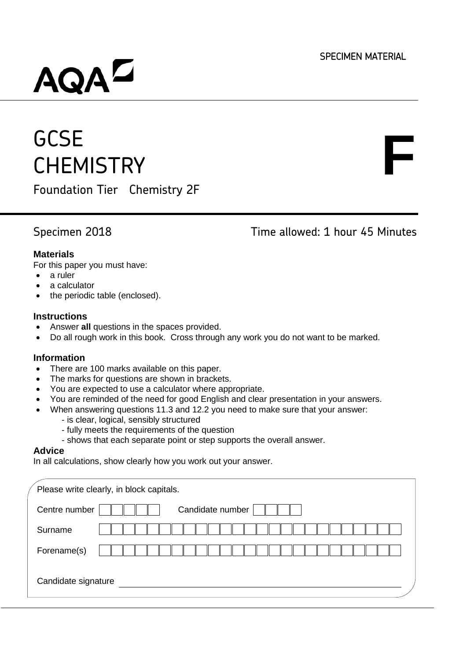**F**

# AQA<sup>L</sup>

## **GCSE CHEMISTRY**

Foundation Tier Chemistry 2F

Specimen 2018 Time allowed: 1 hour 45 Minutes

#### **Materials**

For this paper you must have:

- a ruler
- a calculator
- the periodic table (enclosed).

#### **Instructions**

- Answer **all** questions in the spaces provided.
- Do all rough work in this book. Cross through any work you do not want to be marked.

#### **Information**

- There are 100 marks available on this paper.
- The marks for questions are shown in brackets.
- You are expected to use a calculator where appropriate.
- You are reminded of the need for good English and clear presentation in your answers.
- When answering questions 11.3 and 12.2 you need to make sure that your answer:
	- is clear, logical, sensibly structured
	- fully meets the requirements of the question
- shows that each separate point or step supports the overall answer.

#### **Advice**

In all calculations, show clearly how you work out your answer.

| Please write clearly, in block capitals. |
|------------------------------------------|
| Candidate number<br>Centre number        |
| Surname                                  |
| Forename(s)                              |
| Candidate signature                      |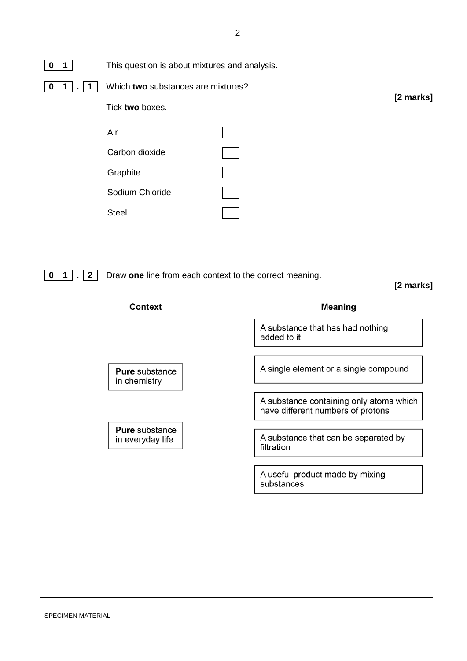| 0<br>$\mathbf 1$ | This question is about mixtures and analysis. |           |
|------------------|-----------------------------------------------|-----------|
| 0                | Which two substances are mixtures?            |           |
|                  | Tick two boxes.                               | [2 marks] |
|                  | Air                                           |           |
|                  | Carbon dioxide                                |           |
|                  | Graphite                                      |           |
|                  | Sodium Chloride                               |           |
|                  | <b>Steel</b>                                  |           |
|                  |                                               |           |

**0 1 . 2** Draw **one** line from each context to the correct meaning.

## **[2 marks]**

| Context                        | Meaning                                                                      |
|--------------------------------|------------------------------------------------------------------------------|
|                                | A substance that has had nothing<br>added to it                              |
|                                |                                                                              |
| Pure substance<br>in chemistry | A single element or a single compound                                        |
|                                |                                                                              |
|                                | A substance containing only atoms which<br>have different numbers of protons |
| <b>Pure</b> substance          |                                                                              |
| in everyday life               | A substance that can be separated by<br>filtration                           |
|                                |                                                                              |
|                                | A useful product made by mixing<br>substances                                |
|                                |                                                                              |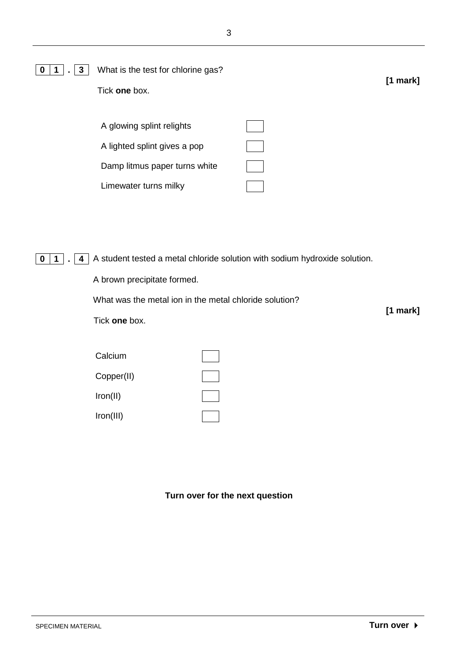| $\mathbf{3}$<br>0 | What is the test for chlorine gas?<br>Tick one box.                                                                                                                                  | $[1$ mark $]$ |
|-------------------|--------------------------------------------------------------------------------------------------------------------------------------------------------------------------------------|---------------|
|                   | A glowing splint relights<br>A lighted splint gives a pop<br>Damp litmus paper turns white<br>Limewater turns milky                                                                  |               |
| 4<br>0<br>1       | A student tested a metal chloride solution with sodium hydroxide solution.<br>A brown precipitate formed.<br>What was the metal ion in the metal chloride solution?<br>Tick one box. | $[1$ mark]    |

| Calcium    |  |
|------------|--|
| Copper(II) |  |
| Iron(II)   |  |
| Iron(III)  |  |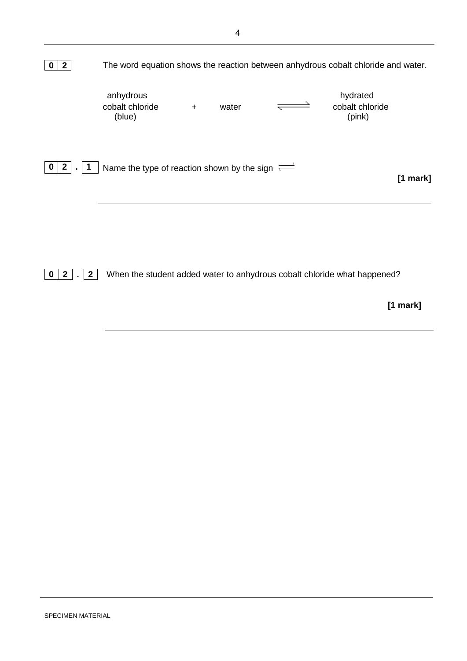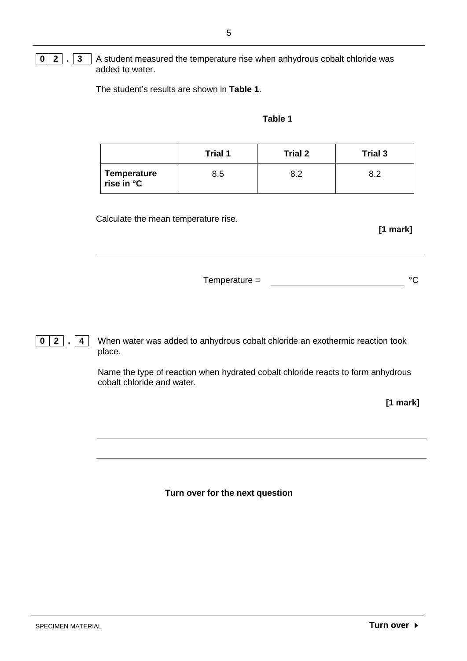#### **0 2 . 3** A student measured the temperature rise when anhydrous cobalt chloride was added to water.

The student's results are shown in **Table 1**.

#### **Table 1**

|                           | Trial 1 | <b>Trial 2</b> | Trial 3 |
|---------------------------|---------|----------------|---------|
| Temperature<br>rise in °C | 8.5     | 8.2            | ຂາ      |

Calculate the mean temperature rise.

#### **[1 mark]**

| $Temperature =$ |  |
|-----------------|--|
|                 |  |

**0 2 . 4** When water was added to anhydrous cobalt chloride an exothermic reaction took place.

> Name the type of reaction when hydrated cobalt chloride reacts to form anhydrous cobalt chloride and water.

> > **[1 mark]**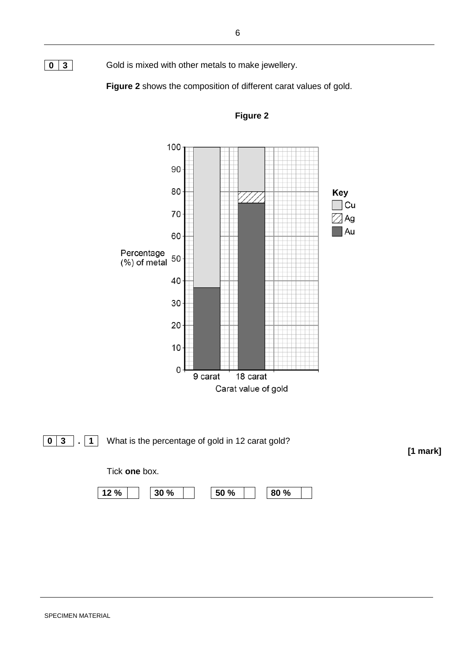**0** 3 Gold is mixed with other metals to make jewellery.

**Figure 2** shows the composition of different carat values of gold.



**[1 mark]**

**Figure 2**

#### SPECIMEN MATERIAL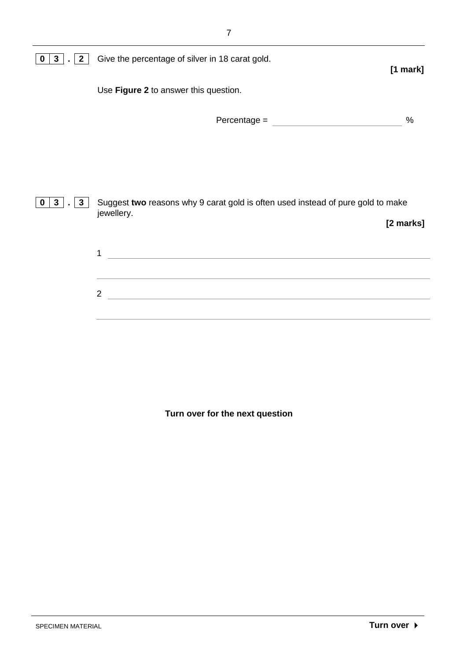| $\mathbf{2}$<br>$\mathbf{3}$<br>$\bf{0}$      | Give the percentage of silver in 18 carat gold.<br>$[1$ mark]                                 |
|-----------------------------------------------|-----------------------------------------------------------------------------------------------|
|                                               | Use Figure 2 to answer this question.                                                         |
|                                               | $\%$                                                                                          |
|                                               |                                                                                               |
|                                               |                                                                                               |
| 3 <sup>1</sup><br>$\mathbf{3}$<br>$\mathbf 0$ | Suggest two reasons why 9 carat gold is often used instead of pure gold to make<br>jewellery. |
|                                               | [2 marks]                                                                                     |
|                                               | 1                                                                                             |
|                                               | <u>a sa barang ang pagpagang nagarang pang</u><br>$\overline{2}$                              |
|                                               |                                                                                               |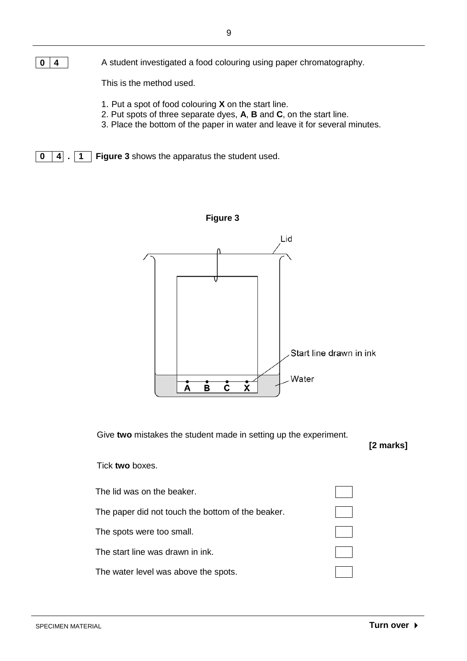This is the method used.

- 1. Put a spot of food colouring **X** on the start line.
- 2. Put spots of three separate dyes, **A**, **B** and **C**, on the start line.
- 3. Place the bottom of the paper in water and leave it for several minutes.

**0 4 . 1 Figure 3** shows the apparatus the student used.



Give **two** mistakes the student made in setting up the experiment.

**[2 marks]**

#### Tick **two** boxes.

| The lid was on the beaker.                        |  |
|---------------------------------------------------|--|
| The paper did not touch the bottom of the beaker. |  |
| The spots were too small.                         |  |
| The start line was drawn in ink.                  |  |
| The water level was above the spots.              |  |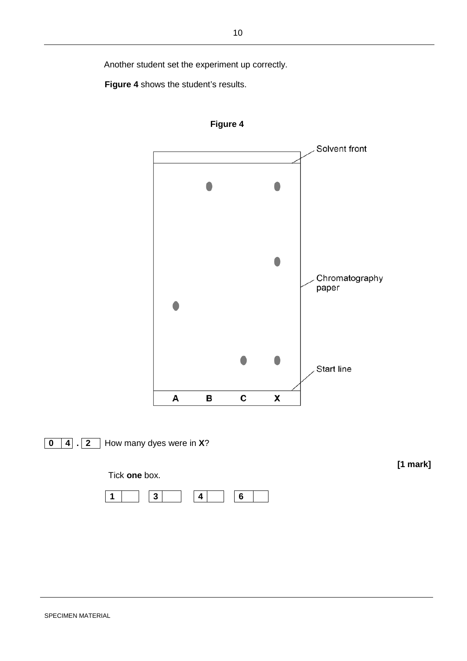Another student set the experiment up correctly.

**Figure 4** shows the student's results.





**0 4 . 2** How many dyes were in **X**?

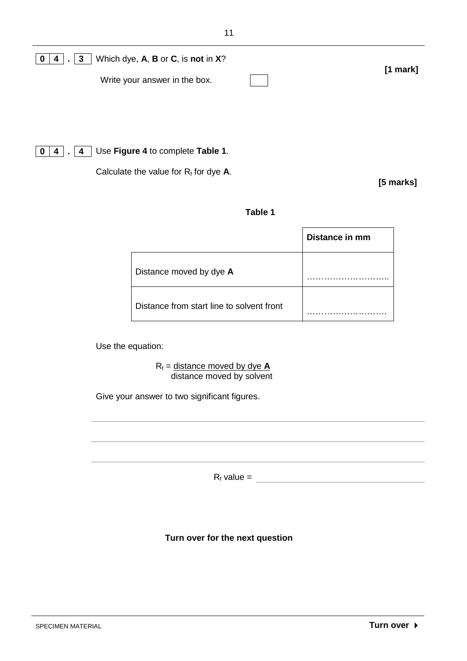| Which dye, A, B or C, is not in X?<br>$. \vert 3 \vert$<br>4<br>0 |            |
|-------------------------------------------------------------------|------------|
| Write your answer in the box.                                     | $[1$ mark] |
|                                                                   |            |
|                                                                   |            |
| Use Figure 4 to complete Table 1.<br>$\overline{4}$<br>0<br>4     |            |

Calculate the value for R<sub>f</sub> for dye A.

**[5 marks]**

#### **Table 1**

|                                           | Distance in mm |
|-------------------------------------------|----------------|
| Distance moved by dye A                   |                |
| Distance from start line to solvent front |                |

Use the equation:

 $R_f$  = distance moved by dye  $\bf{A}$ distance moved by solvent

Give your answer to two significant figures.

 $R_f$  value =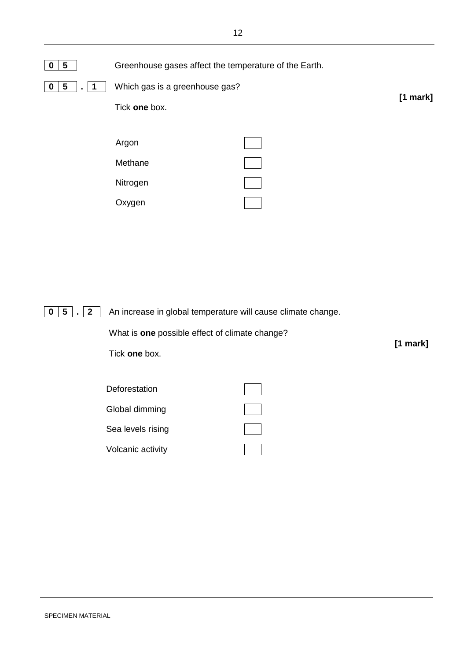

**0 5 . 2** An increase in global temperature will cause climate change.

What is **one** possible effect of climate change?

Tick **one** box.

**Deforestation** 

Sea levels rising

Global dimming

Volcanic activity



**[1 mark]**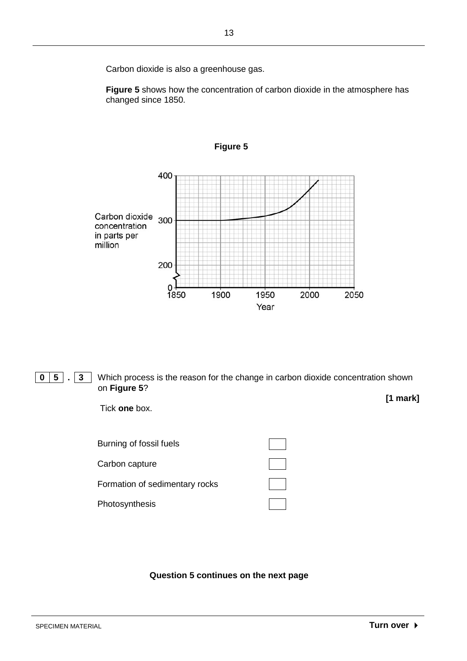Carbon dioxide is also a greenhouse gas.

**Figure 5** shows how the concentration of carbon dioxide in the atmosphere has changed since 1850.



**Figure 5**

**0 5 . 3** Which process is the reason for the change in carbon dioxide concentration shown on **Figure 5**? **[1 mark]**

Tick **one** box.

| Burning of fossil fuels        |  |
|--------------------------------|--|
| Carbon capture                 |  |
| Formation of sedimentary rocks |  |
| Photosynthesis                 |  |

**Question 5 continues on the next page**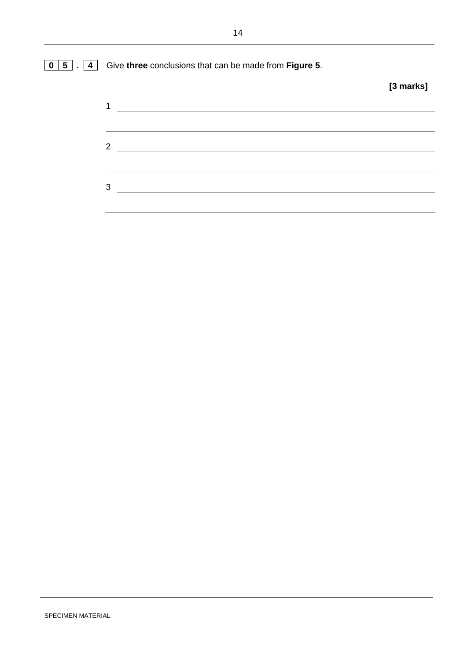## **0 5 . 4** Give **three** conclusions that can be made from **Figure 5**. **[3 marks]**  $\mathbf 1$   $\mathbf 1$ 2  $3$   $\overline{\phantom{a}}$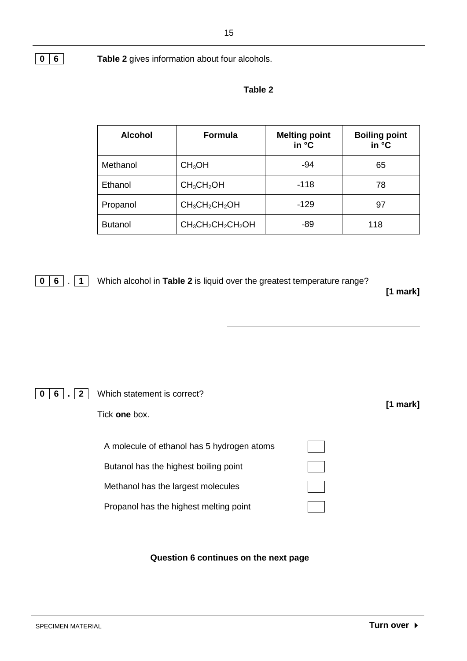**0 6 Table 2** gives information about four alcohols.

#### **Table 2**

| <b>Alcohol</b> | <b>Formula</b>                     | <b>Melting point</b><br>in °C | <b>Boiling point</b><br>in °C |
|----------------|------------------------------------|-------------------------------|-------------------------------|
| Methanol       | CH <sub>3</sub> OH                 | -94                           | 65                            |
| Ethanol        | CH <sub>3</sub> CH <sub>2</sub> OH | $-118$                        | 78                            |
| Propanol       | $CH_3CH_2CH_2OH$                   | $-129$                        | 97                            |
| <b>Butanol</b> | $CH_3CH_2CH_2CH_2OH$               | $-89$                         | 118                           |

**0 6** . **1** Which alcohol in **Table 2** is liquid over the greatest temperature range?

**[1 mark]**

## **0 6 . 2** Which statement is correct?

Tick **one** box.

| A molecule of ethanol has 5 hydrogen atoms |  |
|--------------------------------------------|--|
| Butanol has the highest boiling point      |  |
| Methanol has the largest molecules         |  |
| Propanol has the highest melting point     |  |

#### **Question 6 continues on the next page**

**[1 mark]**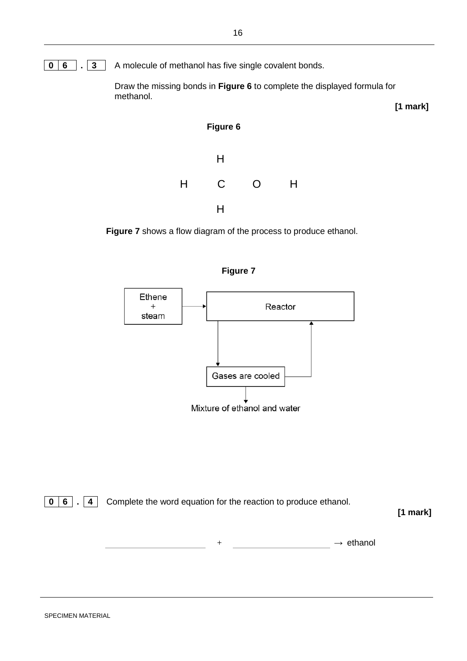

Draw the missing bonds in **Figure 6** to complete the displayed formula for methanol.



**Figure 7** shows a flow diagram of the process to produce ethanol.



**0 6 . 4** Complete the word equation for the reaction to produce ethanol.

**[1 mark]**

**[1 mark]**

 $\rightarrow$  ethanol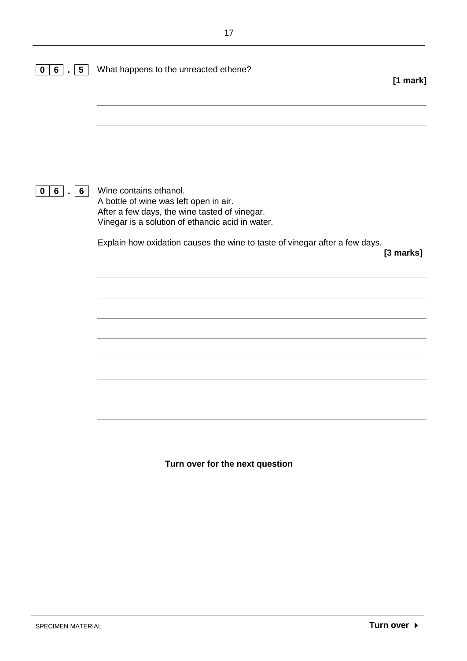| $5\phantom{.0}$<br>$6\phantom{.}$<br>0 | What happens to the unreacted ethene?                                                                                                                                                                                                                | [1 mark]  |
|----------------------------------------|------------------------------------------------------------------------------------------------------------------------------------------------------------------------------------------------------------------------------------------------------|-----------|
|                                        |                                                                                                                                                                                                                                                      |           |
| 6<br>6 <sup>1</sup><br>0               | Wine contains ethanol.<br>A bottle of wine was left open in air.<br>After a few days, the wine tasted of vinegar.<br>Vinegar is a solution of ethanoic acid in water.<br>Explain how oxidation causes the wine to taste of vinegar after a few days. | [3 marks] |
|                                        |                                                                                                                                                                                                                                                      |           |
|                                        |                                                                                                                                                                                                                                                      |           |
|                                        |                                                                                                                                                                                                                                                      |           |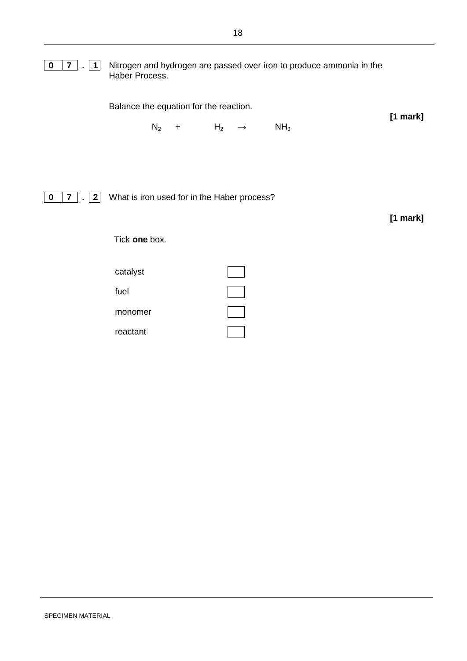| $\boldsymbol{0}$<br>$7$ .<br>$\vert$ 1                          | Nitrogen and hydrogen are passed over iron to produce ammonia in the<br>Haber Process.                       |            |
|-----------------------------------------------------------------|--------------------------------------------------------------------------------------------------------------|------------|
|                                                                 | Balance the equation for the reaction.<br>$N_2$<br>NH <sub>3</sub><br>H <sub>2</sub><br>$+$<br>$\rightarrow$ | $[1$ mark] |
| $\mathbf 0$<br>7 <sup>7</sup><br>$\mathbf{2}$<br>$\overline{a}$ | What is iron used for in the Haber process?<br>Tick one box.                                                 | $[1$ mark] |
|                                                                 | catalyst<br>fuel<br>monomer<br>reactant                                                                      |            |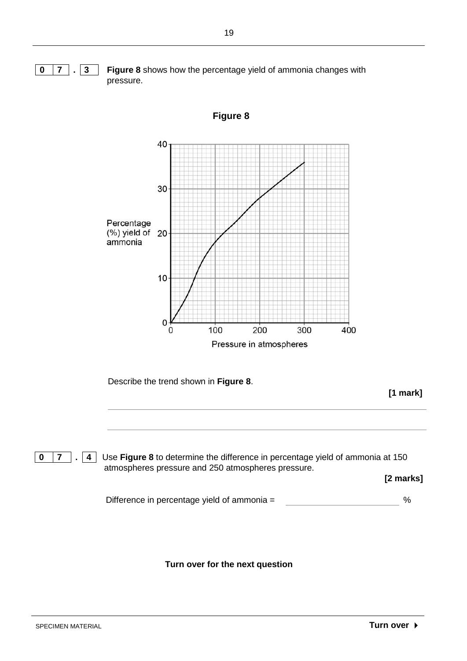

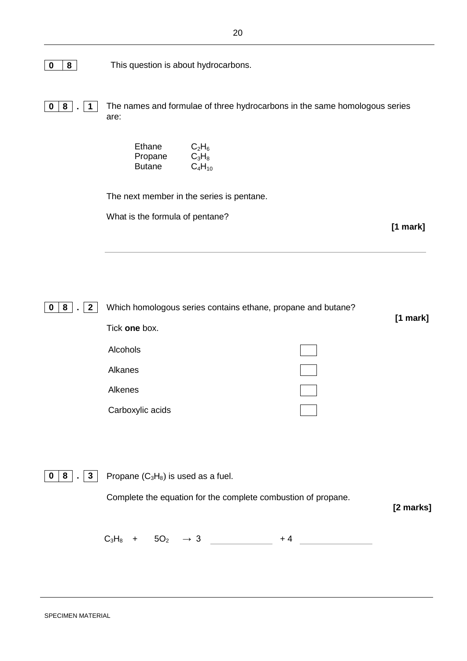**0 8** This question is about hydrocarbons.

**0 8 . 1** The names and formulae of three hydrocarbons in the same homologous series are:

| Ethane  | $C_2H_6$    |
|---------|-------------|
| Propane | $C_3H_8$    |
| Butane  | $C_4H_{10}$ |

The next member in the series is pentane.

What is the formula of pentane?

**[1 mark]**

| $\overline{2}$<br>8<br>0 | Which homologous series contains ethane, propane and butane?  |               |
|--------------------------|---------------------------------------------------------------|---------------|
|                          | Tick one box.                                                 | $[1$ mark $]$ |
|                          | Alcohols                                                      |               |
|                          | Alkanes                                                       |               |
|                          | Alkenes                                                       |               |
|                          | Carboxylic acids                                              |               |
|                          |                                                               |               |
|                          |                                                               |               |
| $\mathbf{3}$<br>8<br>0   | Propane $(C_3H_8)$ is used as a fuel.                         |               |
|                          | Complete the equation for the complete combustion of propane. | [2 marks]     |
|                          | $C_3H_8$<br>5O <sub>2</sub><br>$\rightarrow$ 3<br>+ 4<br>$+$  |               |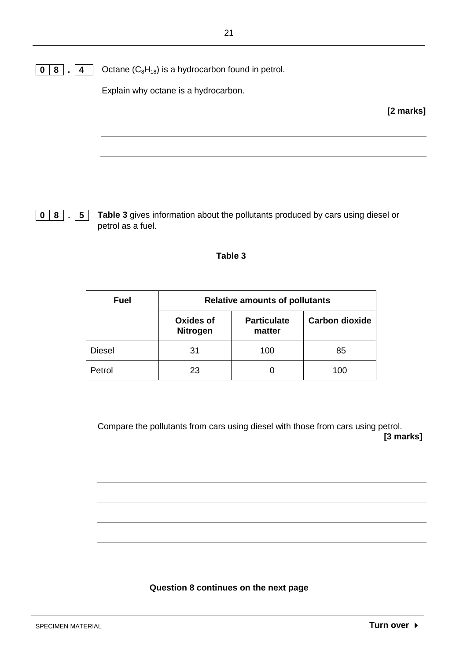$\boxed{0}$  **8**  $\boxed{4}$  Octane  $(C_8H_{18})$  is a hydrocarbon found in petrol.

Explain why octane is a hydrocarbon.

**[2 marks]**

**0 8 . 5 Table 3** gives information about the pollutants produced by cars using diesel or petrol as a fuel.

#### **Table 3**

| <b>Fuel</b>   | <b>Relative amounts of pollutants</b> |                              |                       |
|---------------|---------------------------------------|------------------------------|-----------------------|
|               | <b>Oxides of</b><br><b>Nitrogen</b>   | <b>Particulate</b><br>matter | <b>Carbon dioxide</b> |
| <b>Diesel</b> | 31                                    | 100                          | 85                    |
| Petrol        | 23                                    |                              | 100                   |

Compare the pollutants from cars using diesel with those from cars using petrol. **[3 marks]**

#### **Question 8 continues on the next page**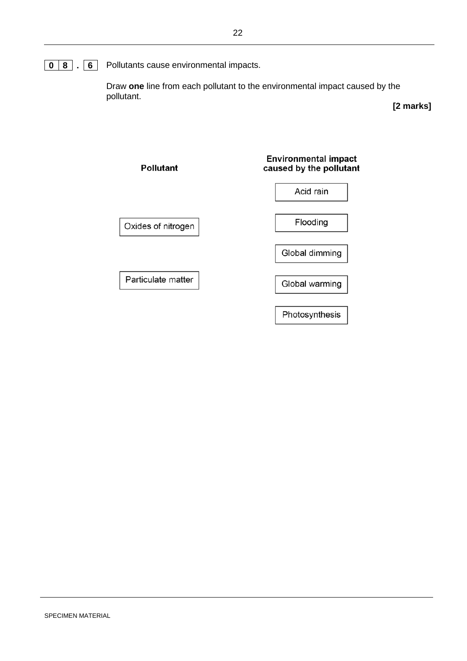## **0 8 . 6** Pollutants cause environmental impacts.

Draw **one** line from each pollutant to the environmental impact caused by the pollutant.

**[2 marks]**

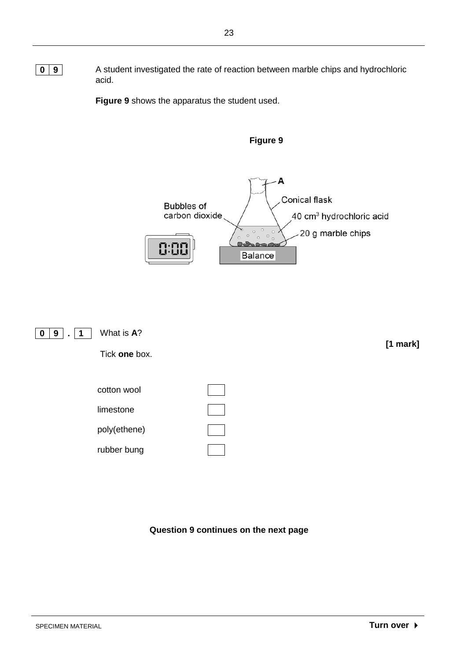**0 9** A student investigated the rate of reaction between marble chips and hydrochloric acid.

**Figure 9** shows the apparatus the student used.



**Figure 9**



Tick **one** box.



**Question 9 continues on the next page**

**[1 mark]**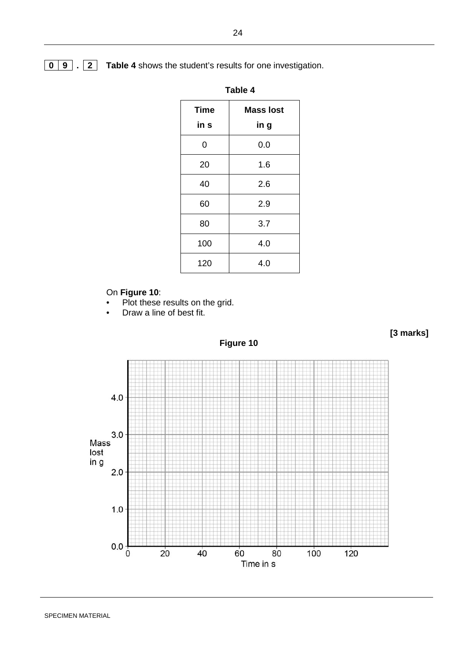#### **0 9 . 2 Table 4** shows the student's results for one investigation.

| Table 4             |                          |  |
|---------------------|--------------------------|--|
| <b>Time</b><br>in s | <b>Mass lost</b><br>in g |  |
| 0                   | 0.0                      |  |
| 20                  | 1.6                      |  |
| 40                  | 2.6                      |  |
| 60                  | 2.9                      |  |
| 80                  | 3.7                      |  |
| 100                 | 4.0                      |  |
| 120                 | 4.0                      |  |

#### On **Figure 10**:

- Plot these results on the grid.
- Draw a line of best fit.





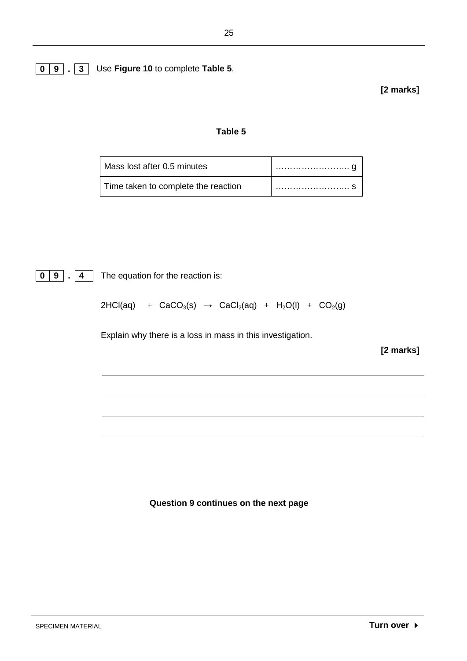### **0 9 . 3** Use **Figure 10** to complete **Table 5**.

**[2 marks]**

#### **Table 5**

| Mass lost after 0.5 minutes         |  |
|-------------------------------------|--|
| Time taken to complete the reaction |  |

**0 9 . 4** The equation for the reaction is:

 $2HCl(aq)$  + CaCO<sub>3</sub>(s)  $\rightarrow$  CaCl<sub>2</sub>(aq) + H<sub>2</sub>O(l) + CO<sub>2</sub>(g)

Explain why there is a loss in mass in this investigation.

**[2 marks]**

**Question 9 continues on the next page**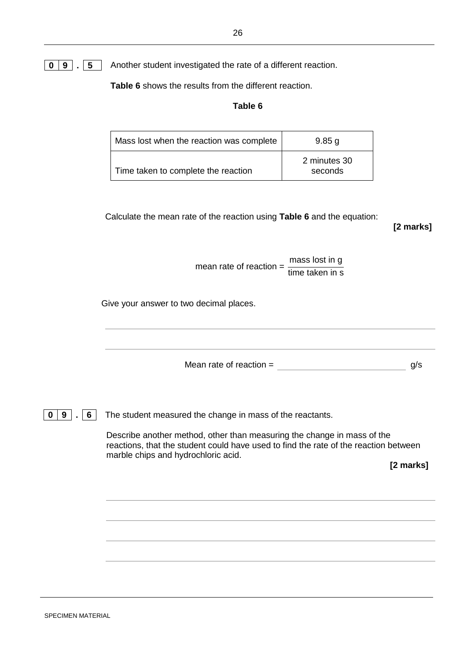### **0 9 . 5** Another student investigated the rate of a different reaction.

**Table 6** shows the results from the different reaction.

#### **Table 6**

| Mass lost when the reaction was complete | $9.85$ g                |
|------------------------------------------|-------------------------|
| Time taken to complete the reaction      | 2 minutes 30<br>seconds |

Calculate the mean rate of the reaction using **Table 6** and the equation:

**[2 marks]**

mean rate of reaction =  $\frac{\text{mass lost in g}}{\text{time taken in s}}$ 

Give your answer to two decimal places.

Mean rate of reaction  $=$  g/s

**0** | **9**  $\vert \cdot \vert$  **6** | The student measured the change in mass of the reactants.

Describe another method, other than measuring the change in mass of the reactions, that the student could have used to find the rate of the reaction between marble chips and hydrochloric acid.

**[2 marks]**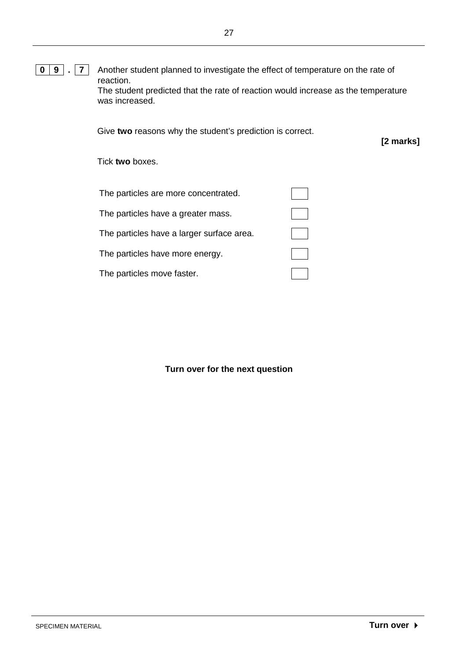**0 9 . 7** Another student planned to investigate the effect of temperature on the rate of reaction. The student predicted that the rate of reaction would increase as the temperature was increased.

Give **two** reasons why the student's prediction is correct.

**[2 marks]**

Tick **two** boxes.

| The particles are more concentrated.      |  |
|-------------------------------------------|--|
| The particles have a greater mass.        |  |
| The particles have a larger surface area. |  |
| The particles have more energy.           |  |
| The particles move faster.                |  |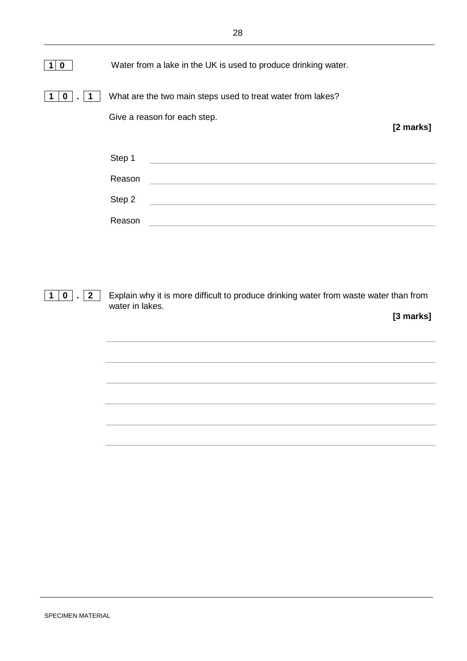| 0 | Water from a lake in the UK is used to produce drinking water. |           |
|---|----------------------------------------------------------------|-----------|
|   | What are the two main steps used to treat water from lakes?    |           |
|   | Give a reason for each step.                                   | [2 marks] |
|   | Step 1                                                         |           |
|   | Reason                                                         |           |
|   | Step 2                                                         |           |
|   | Reason                                                         |           |

**1 0 . 2** Explain why it is more difficult to produce drinking water from waste water than from water in lakes.

**[3 marks]**

SPECIMEN MATERIAL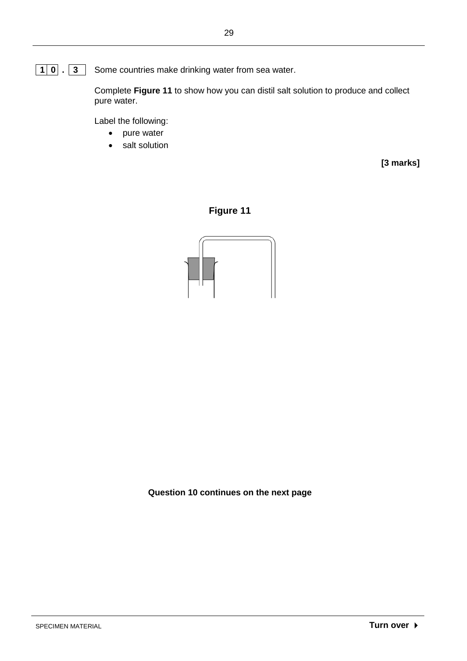**1 0 . 3** Some countries make drinking water from sea water.

Complete **Figure 11** to show how you can distil salt solution to produce and collect pure water.

Label the following:

- pure water
- salt solution

**[3 marks]**





**Question 10 continues on the next page**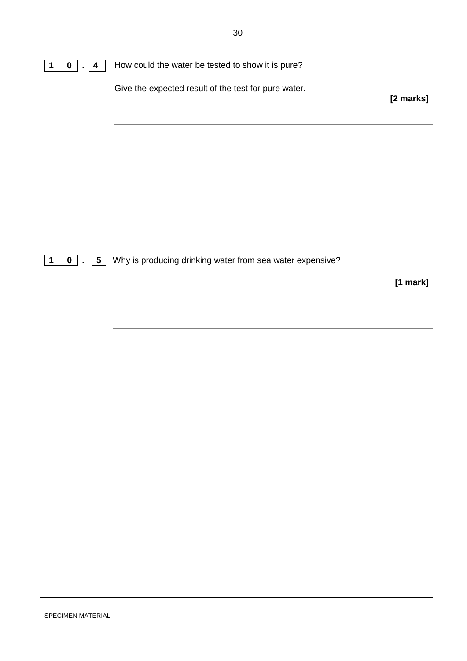| 0<br>4<br>$\blacksquare$ | How could the water be tested to show it is pure?             |            |
|--------------------------|---------------------------------------------------------------|------------|
|                          | Give the expected result of the test for pure water.          | [2 marks]  |
|                          |                                                               |            |
|                          |                                                               |            |
|                          |                                                               |            |
|                          |                                                               |            |
| $0$   .<br>-1            | 5   Why is producing drinking water from sea water expensive? |            |
|                          |                                                               | $[1$ mark] |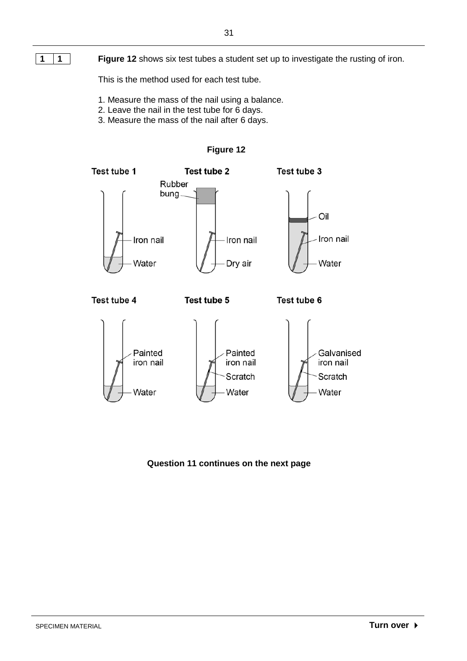**1 1 Figure 12** shows six test tubes a student set up to investigate the rusting of iron.

This is the method used for each test tube.

- 1. Measure the mass of the nail using a balance.
- 2. Leave the nail in the test tube for 6 days.
- 3. Measure the mass of the nail after 6 days.



#### **Figure 12**

**Question 11 continues on the next page**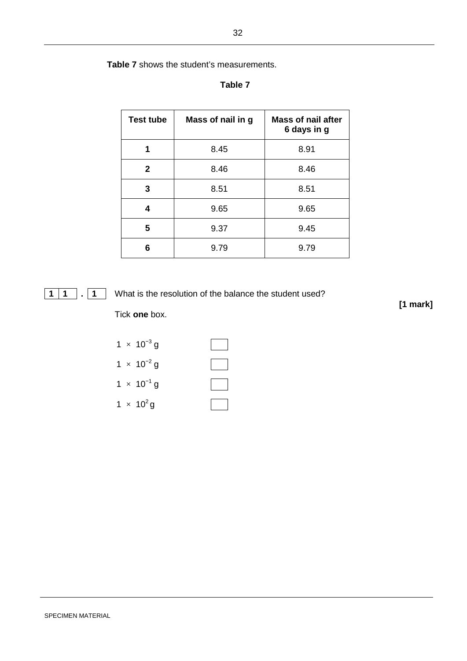**Table 7** shows the student's measurements.

#### **Table 7**

| <b>Test tube</b> | Mass of nail in g | <b>Mass of nail after</b><br>6 days in g |
|------------------|-------------------|------------------------------------------|
| 1                | 8.45              | 8.91                                     |
| $\mathbf{2}$     | 8.46              | 8.46                                     |
| 3                | 8.51              | 8.51                                     |
| 4                | 9.65              | 9.65                                     |
| 5                | 9.37              | 9.45                                     |
| 6                | 9.79              | 9.79                                     |

#### **1 . 1** What is the resolution of the balance the student used?

Tick **one** box.

|  | $1 \times 10^{-3}$ g         |  |
|--|------------------------------|--|
|  | $1 \times 10^{-2}$ g         |  |
|  | $1 \times 10^{-1}$ g         |  |
|  | 1 $\times$ 10 <sup>2</sup> g |  |

**[1 mark]**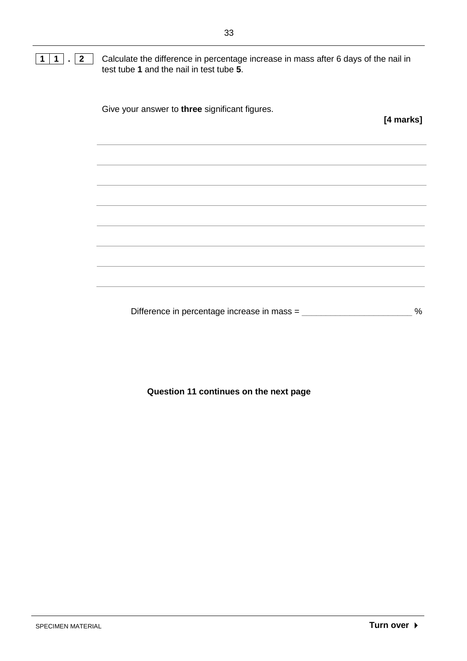**1 1 . 2** Calculate the difference in percentage increase in mass after 6 days of the nail in test tube **1** and the nail in test tube **5**.

| Give your answer to three significant figures. | [4 marks] |
|------------------------------------------------|-----------|
|                                                |           |
|                                                |           |
|                                                |           |
|                                                |           |
|                                                |           |
|                                                |           |
|                                                |           |

Difference in percentage increase in mass = \_\_\_\_\_\_\_\_\_\_\_\_\_\_\_\_\_\_\_\_\_\_\_\_ %

**Question 11 continues on the next page**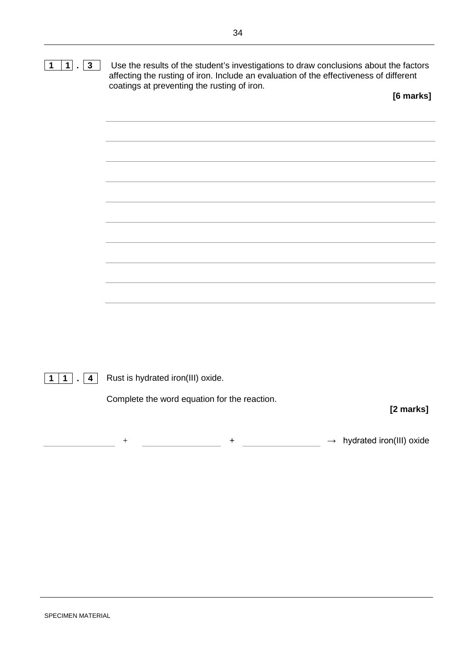

**1 1 . 4** Rust is hydrated iron(III) oxide.

Complete the word equation for the reaction.

**[2 marks]**

+ + → hydrated iron(III) oxide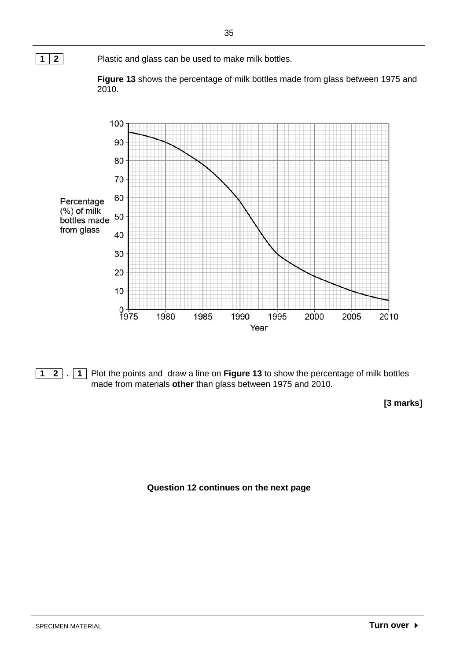





**1 2 . 1** Plot the points and draw a line on **Figure 13** to show the percentage of milk bottles made from materials **other** than glass between 1975 and 2010.

**[3 marks]**

**Question 12 continues on the next page**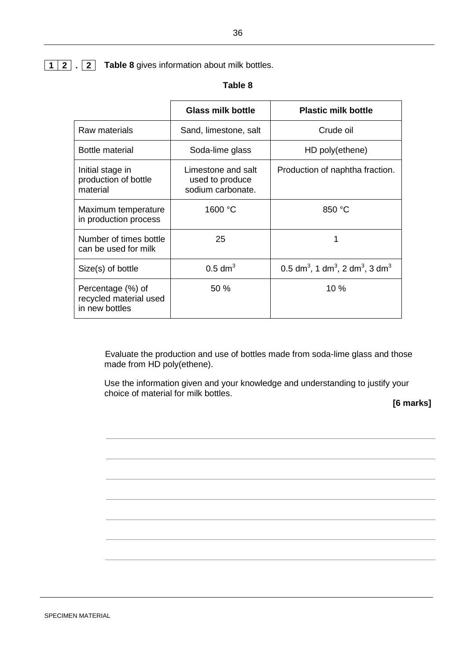#### **Table 8**

|                                                               | <b>Glass milk bottle</b>                                   | <b>Plastic milk bottle</b>                                                      |
|---------------------------------------------------------------|------------------------------------------------------------|---------------------------------------------------------------------------------|
| Raw materials                                                 | Sand, limestone, salt                                      | Crude oil                                                                       |
| Bottle material                                               | Soda-lime glass                                            | HD poly(ethene)                                                                 |
| Initial stage in<br>production of bottle<br>material          | Limestone and salt<br>used to produce<br>sodium carbonate. | Production of naphtha fraction.                                                 |
| Maximum temperature<br>in production process                  | 1600 °C                                                    | 850 °C                                                                          |
| Number of times bottle<br>can be used for milk                | 25                                                         | 1                                                                               |
| Size(s) of bottle                                             | $0.5$ dm <sup>3</sup>                                      | 0.5 dm <sup>3</sup> , 1 dm <sup>3</sup> , 2 dm <sup>3</sup> , 3 dm <sup>3</sup> |
| Percentage (%) of<br>recycled material used<br>in new bottles | 50%                                                        | 10%                                                                             |

 Evaluate the production and use of bottles made from soda-lime glass and those made from HD poly(ethene).

Use the information given and your knowledge and understanding to justify your choice of material for milk bottles.

#### **[6 marks]**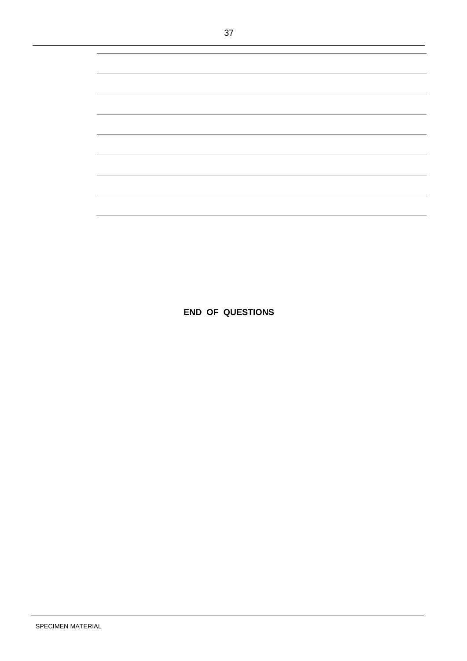**END OF QUESTIONS**